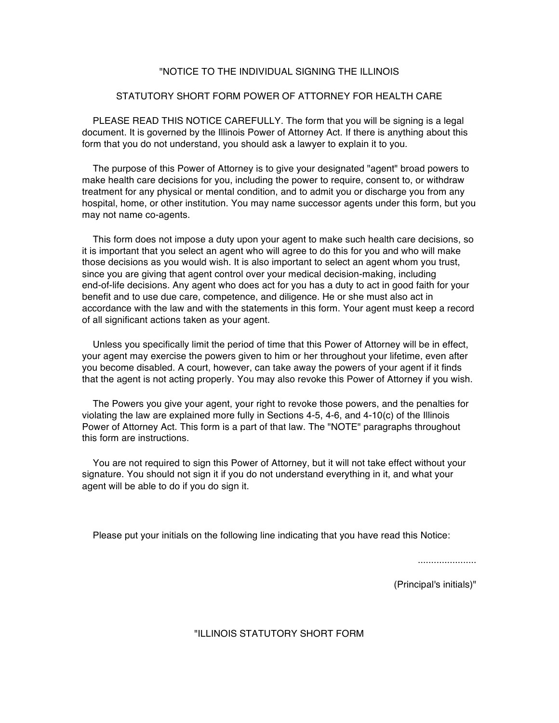## "NOTICE TO THE INDIVIDUAL SIGNING THE ILLINOIS

## STATUTORY SHORT FORM POWER OF ATTORNEY FOR HEALTH CARE

PLEASE READ THIS NOTICE CAREFULLY. The form that you will be signing is a legal document. It is governed by the Illinois Power of Attorney Act. If there is anything about this form that you do not understand, you should ask a lawyer to explain it to you.

The purpose of this Power of Attorney is to give your designated "agent" broad powers to make health care decisions for you, including the power to require, consent to, or withdraw treatment for any physical or mental condition, and to admit you or discharge you from any hospital, home, or other institution. You may name successor agents under this form, but you may not name co-agents.

This form does not impose a duty upon your agent to make such health care decisions, so it is important that you select an agent who will agree to do this for you and who will make those decisions as you would wish. It is also important to select an agent whom you trust, since you are giving that agent control over your medical decision-making, including end-of-life decisions. Any agent who does act for you has a duty to act in good faith for your benefit and to use due care, competence, and diligence. He or she must also act in accordance with the law and with the statements in this form. Your agent must keep a record of all significant actions taken as your agent.

Unless you specifically limit the period of time that this Power of Attorney will be in effect, your agent may exercise the powers given to him or her throughout your lifetime, even after you become disabled. A court, however, can take away the powers of your agent if it finds that the agent is not acting properly. You may also revoke this Power of Attorney if you wish.

The Powers you give your agent, your right to revoke those powers, and the penalties for violating the law are explained more fully in Sections 4-5, 4-6, and 4-10(c) of the Illinois Power of Attorney Act. This form is a part of that law. The "NOTE" paragraphs throughout this form are instructions.

You are not required to sign this Power of Attorney, but it will not take effect without your signature. You should not sign it if you do not understand everything in it, and what your agent will be able to do if you do sign it.

Please put your initials on the following line indicating that you have read this Notice:

......................

(Principal's initials)"

"ILLINOIS STATUTORY SHORT FORM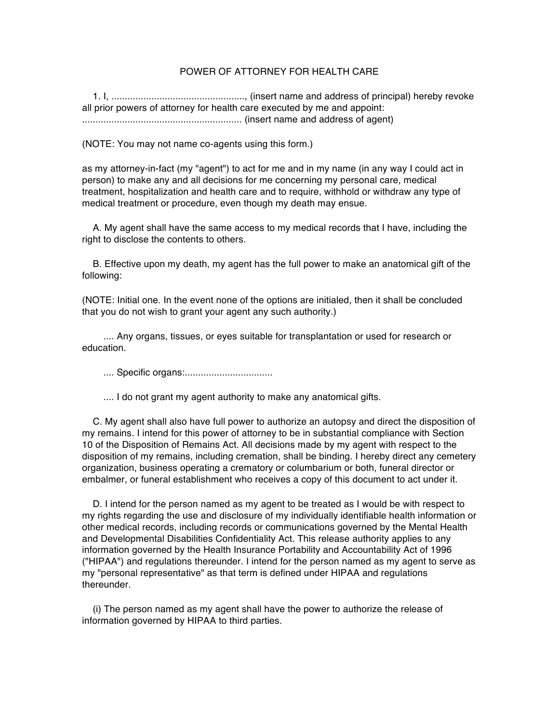## POWER OF ATTORNEY FOR HEALTH CARE

1. I, .................................................., (insert name and address of principal) hereby revoke all prior powers of attorney for health care executed by me and appoint: ............................................................ (insert name and address of agent)

(NOTE: You may not name co-agents using this form.)

as my attorney-in-fact (my "agent") to act for me and in my name (in any way I could act in person) to make any and all decisions for me concerning my personal care, medical treatment, hospitalization and health care and to require, withhold or withdraw any type of medical treatment or procedure, even though my death may ensue.

A. My agent shall have the same access to my medical records that I have, including the right to disclose the contents to others.

B. Effective upon my death, my agent has the full power to make an anatomical gift of the following:

(NOTE: Initial one. In the event none of the options are initialed, then it shall be concluded that you do not wish to grant your agent any such authority.)

.... Any organs, tissues, or eyes suitable for transplantation or used for research or education.

.... Specific organs:.................................

.... I do not grant my agent authority to make any anatomical gifts.

C. My agent shall also have full power to authorize an autopsy and direct the disposition of my remains. I intend for this power of attorney to be in substantial compliance with Section 10 of the Disposition of Remains Act. All decisions made by my agent with respect to the disposition of my remains, including cremation, shall be binding. I hereby direct any cemetery organization, business operating a crematory or columbarium or both, funeral director or embalmer, or funeral establishment who receives a copy of this document to act under it.

D. I intend for the person named as my agent to be treated as I would be with respect to my rights regarding the use and disclosure of my individually identifiable health information or other medical records, including records or communications governed by the Mental Health and Developmental Disabilities Confidentiality Act. This release authority applies to any information governed by the Health Insurance Portability and Accountability Act of 1996 ("HIPAA") and regulations thereunder. I intend for the person named as my agent to serve as my "personal representative" as that term is defined under HIPAA and regulations thereunder.

(i) The person named as my agent shall have the power to authorize the release of information governed by HIPAA to third parties.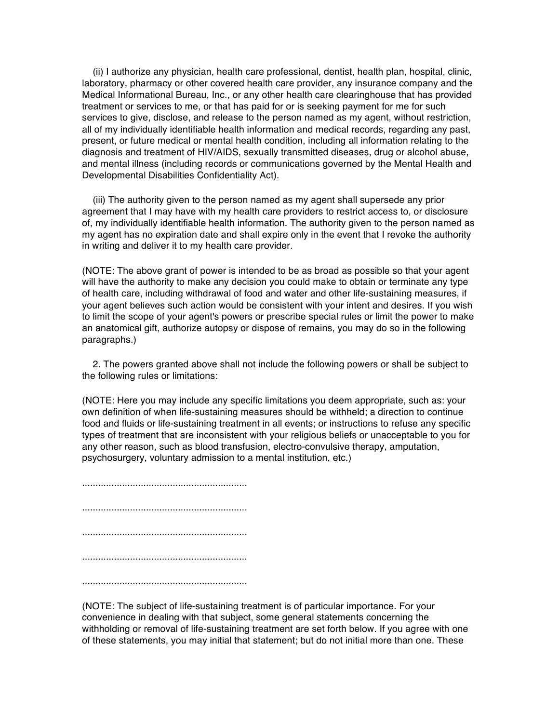(ii) I authorize any physician, health care professional, dentist, health plan, hospital, clinic, laboratory, pharmacy or other covered health care provider, any insurance company and the Medical Informational Bureau, Inc., or any other health care clearinghouse that has provided treatment or services to me, or that has paid for or is seeking payment for me for such services to give, disclose, and release to the person named as my agent, without restriction, all of my individually identifiable health information and medical records, regarding any past, present, or future medical or mental health condition, including all information relating to the diagnosis and treatment of HIV/AIDS, sexually transmitted diseases, drug or alcohol abuse, and mental illness (including records or communications governed by the Mental Health and Developmental Disabilities Confidentiality Act).

(iii) The authority given to the person named as my agent shall supersede any prior agreement that I may have with my health care providers to restrict access to, or disclosure of, my individually identifiable health information. The authority given to the person named as my agent has no expiration date and shall expire only in the event that I revoke the authority in writing and deliver it to my health care provider.

(NOTE: The above grant of power is intended to be as broad as possible so that your agent will have the authority to make any decision you could make to obtain or terminate any type of health care, including withdrawal of food and water and other life-sustaining measures, if your agent believes such action would be consistent with your intent and desires. If you wish to limit the scope of your agent's powers or prescribe special rules or limit the power to make an anatomical gift, authorize autopsy or dispose of remains, you may do so in the following paragraphs.)

2. The powers granted above shall not include the following powers or shall be subject to the following rules or limitations:

(NOTE: Here you may include any specific limitations you deem appropriate, such as: your own definition of when life-sustaining measures should be withheld; a direction to continue food and fluids or life-sustaining treatment in all events; or instructions to refuse any specific types of treatment that are inconsistent with your religious beliefs or unacceptable to you for any other reason, such as blood transfusion, electro-convulsive therapy, amputation, psychosurgery, voluntary admission to a mental institution, etc.)

.............................................................. .............................................................. .............................................................. .............................................................. ..............................................................

(NOTE: The subject of life-sustaining treatment is of particular importance. For your convenience in dealing with that subject, some general statements concerning the withholding or removal of life-sustaining treatment are set forth below. If you agree with one of these statements, you may initial that statement; but do not initial more than one. These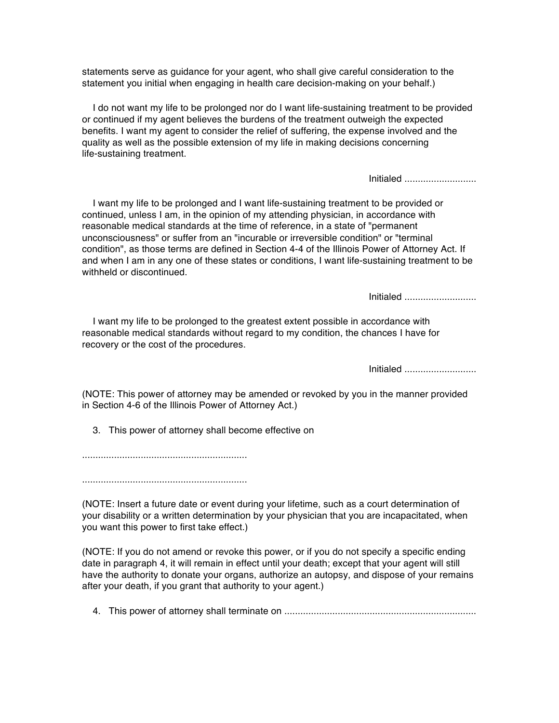statements serve as guidance for your agent, who shall give careful consideration to the statement you initial when engaging in health care decision-making on your behalf.)

I do not want my life to be prolonged nor do I want life-sustaining treatment to be provided or continued if my agent believes the burdens of the treatment outweigh the expected benefits. I want my agent to consider the relief of suffering, the expense involved and the quality as well as the possible extension of my life in making decisions concerning life-sustaining treatment.

**Initialed** ............................

I want my life to be prolonged and I want life-sustaining treatment to be provided or continued, unless I am, in the opinion of my attending physician, in accordance with reasonable medical standards at the time of reference, in a state of "permanent unconsciousness" or suffer from an "incurable or irreversible condition" or "terminal condition", as those terms are defined in Section 4-4 of the Illinois Power of Attorney Act. If and when I am in any one of these states or conditions, I want life-sustaining treatment to be withheld or discontinued.

Initialed ...........................

I want my life to be prolonged to the greatest extent possible in accordance with reasonable medical standards without regard to my condition, the chances I have for recovery or the cost of the procedures.

Initialed ...........................

(NOTE: This power of attorney may be amended or revoked by you in the manner provided in Section 4-6 of the Illinois Power of Attorney Act.)

3. This power of attorney shall become effective on

.............................................................. ..............................................................

(NOTE: Insert a future date or event during your lifetime, such as a court determination of your disability or a written determination by your physician that you are incapacitated, when you want this power to first take effect.)

(NOTE: If you do not amend or revoke this power, or if you do not specify a specific ending date in paragraph 4, it will remain in effect until your death; except that your agent will still have the authority to donate your organs, authorize an autopsy, and dispose of your remains after your death, if you grant that authority to your agent.)

4. This power of attorney shall terminate on ........................................................................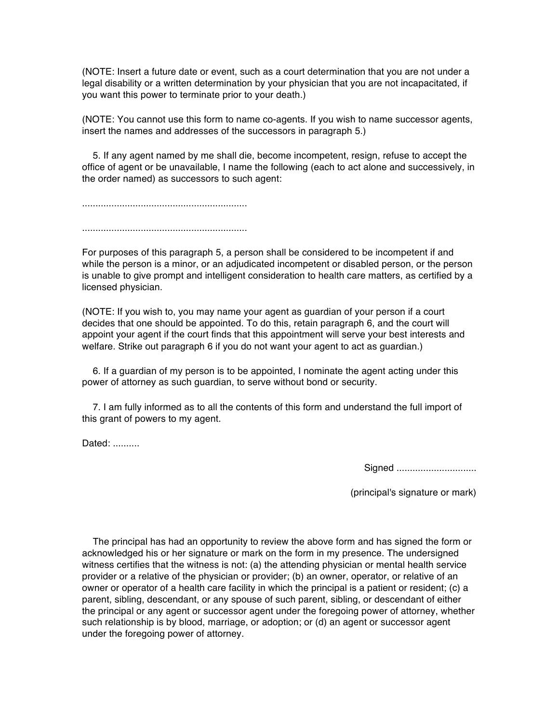(NOTE: Insert a future date or event, such as a court determination that you are not under a legal disability or a written determination by your physician that you are not incapacitated, if you want this power to terminate prior to your death.)

(NOTE: You cannot use this form to name co-agents. If you wish to name successor agents, insert the names and addresses of the successors in paragraph 5.)

5. If any agent named by me shall die, become incompetent, resign, refuse to accept the office of agent or be unavailable, I name the following (each to act alone and successively, in the order named) as successors to such agent:

.............................................................. ..............................................................

For purposes of this paragraph 5, a person shall be considered to be incompetent if and while the person is a minor, or an adjudicated incompetent or disabled person, or the person is unable to give prompt and intelligent consideration to health care matters, as certified by a licensed physician.

(NOTE: If you wish to, you may name your agent as guardian of your person if a court decides that one should be appointed. To do this, retain paragraph 6, and the court will appoint your agent if the court finds that this appointment will serve your best interests and welfare. Strike out paragraph 6 if you do not want your agent to act as guardian.)

6. If a guardian of my person is to be appointed, I nominate the agent acting under this power of attorney as such guardian, to serve without bond or security.

7. I am fully informed as to all the contents of this form and understand the full import of this grant of powers to my agent.

Dated: ..........

Signed ..............................

(principal's signature or mark)

The principal has had an opportunity to review the above form and has signed the form or acknowledged his or her signature or mark on the form in my presence. The undersigned witness certifies that the witness is not: (a) the attending physician or mental health service provider or a relative of the physician or provider; (b) an owner, operator, or relative of an owner or operator of a health care facility in which the principal is a patient or resident; (c) a parent, sibling, descendant, or any spouse of such parent, sibling, or descendant of either the principal or any agent or successor agent under the foregoing power of attorney, whether such relationship is by blood, marriage, or adoption; or (d) an agent or successor agent under the foregoing power of attorney.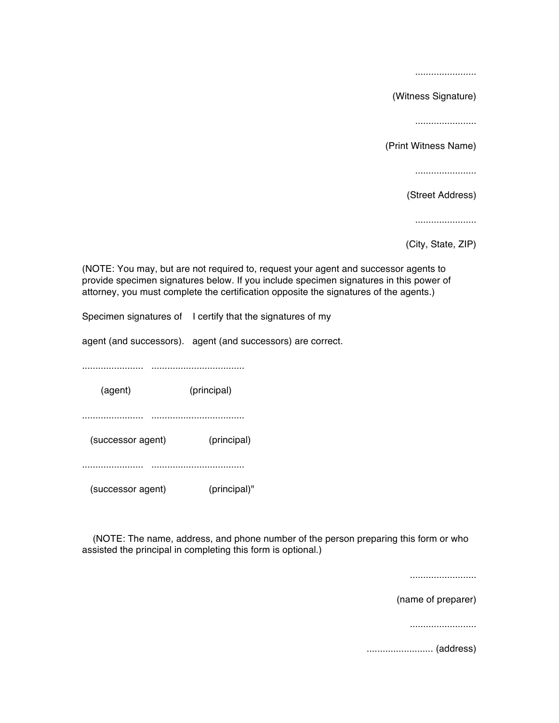.......................

(Witness Signature)

.......................

(Print Witness Name)

.......................

(Street Address)

.......................

(City, State, ZIP)

(NOTE: You may, but are not required to, request your agent and successor agents to provide specimen signatures below. If you include specimen signatures in this power of attorney, you must complete the certification opposite the signatures of the agents.)

Specimen signatures of I certify that the signatures of my

agent (and successors). agent (and successors) are correct.

....................... ...................................

(agent) (principal)

....................... ...................................

(successor agent) (principal)

....................... ...................................

(successor agent) (principal)"

(NOTE: The name, address, and phone number of the person preparing this form or who assisted the principal in completing this form is optional.)

.........................

(name of preparer)

.........................

......................... (address)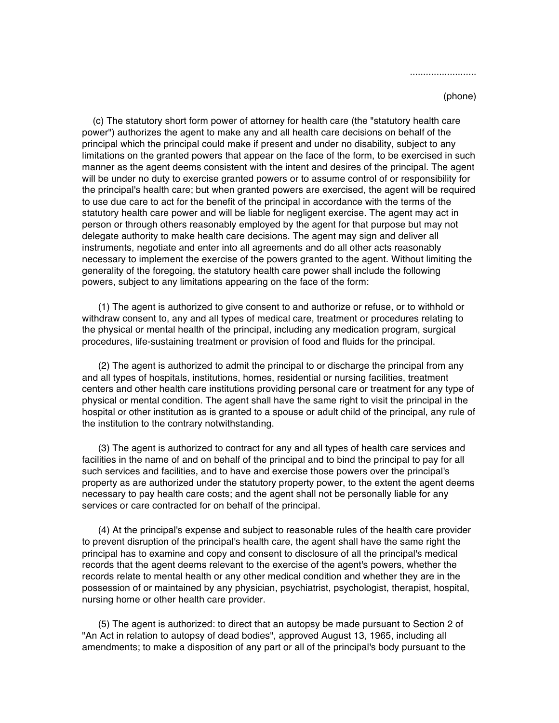.........................

## (phone)

(c) The statutory short form power of attorney for health care (the "statutory health care power") authorizes the agent to make any and all health care decisions on behalf of the principal which the principal could make if present and under no disability, subject to any limitations on the granted powers that appear on the face of the form, to be exercised in such manner as the agent deems consistent with the intent and desires of the principal. The agent will be under no duty to exercise granted powers or to assume control of or responsibility for the principal's health care; but when granted powers are exercised, the agent will be required to use due care to act for the benefit of the principal in accordance with the terms of the statutory health care power and will be liable for negligent exercise. The agent may act in person or through others reasonably employed by the agent for that purpose but may not delegate authority to make health care decisions. The agent may sign and deliver all instruments, negotiate and enter into all agreements and do all other acts reasonably necessary to implement the exercise of the powers granted to the agent. Without limiting the generality of the foregoing, the statutory health care power shall include the following powers, subject to any limitations appearing on the face of the form:

(1) The agent is authorized to give consent to and authorize or refuse, or to withhold or withdraw consent to, any and all types of medical care, treatment or procedures relating to the physical or mental health of the principal, including any medication program, surgical procedures, life-sustaining treatment or provision of food and fluids for the principal.

(2) The agent is authorized to admit the principal to or discharge the principal from any and all types of hospitals, institutions, homes, residential or nursing facilities, treatment centers and other health care institutions providing personal care or treatment for any type of physical or mental condition. The agent shall have the same right to visit the principal in the hospital or other institution as is granted to a spouse or adult child of the principal, any rule of the institution to the contrary notwithstanding.

(3) The agent is authorized to contract for any and all types of health care services and facilities in the name of and on behalf of the principal and to bind the principal to pay for all such services and facilities, and to have and exercise those powers over the principal's property as are authorized under the statutory property power, to the extent the agent deems necessary to pay health care costs; and the agent shall not be personally liable for any services or care contracted for on behalf of the principal.

(4) At the principal's expense and subject to reasonable rules of the health care provider to prevent disruption of the principal's health care, the agent shall have the same right the principal has to examine and copy and consent to disclosure of all the principal's medical records that the agent deems relevant to the exercise of the agent's powers, whether the records relate to mental health or any other medical condition and whether they are in the possession of or maintained by any physician, psychiatrist, psychologist, therapist, hospital, nursing home or other health care provider.

(5) The agent is authorized: to direct that an autopsy be made pursuant to Section 2 of "An Act in relation to autopsy of dead bodies", approved August 13, 1965, including all amendments; to make a disposition of any part or all of the principal's body pursuant to the